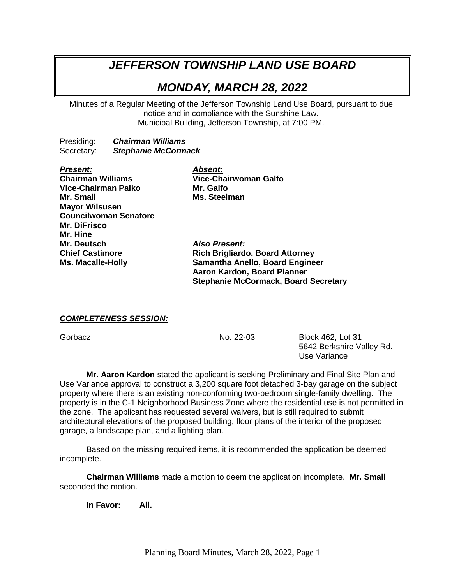# *JEFFERSON TOWNSHIP LAND USE BOARD*

# *MONDAY, MARCH 28, 2022*

Minutes of a Regular Meeting of the Jefferson Township Land Use Board, pursuant to due notice and in compliance with the Sunshine Law. Municipal Building, Jefferson Township, at 7:00 PM.

Presiding: *Chairman Williams* Secretary: *Stephanie McCormack*

*Present: Absent:* **Vice-Chairman Palko** Mr. Galfo **Mr. Small Ms. Steelman Mayor Wilsusen Councilwoman Senatore Mr. DiFrisco Mr. Hine Mr. Deutsch** *Also Present:*

**Chairman Williams Vice-Chairwoman Galfo**

**Chief Castimore Rich Brigliardo, Board Attorney Ms. Macalle-Holly Samantha Anello, Board Engineer Aaron Kardon, Board Planner Stephanie McCormack, Board Secretary**

#### *COMPLETENESS SESSION:*

Gorbacz No. 22-03 Block 462, Lot 31 5642 Berkshire Valley Rd. Use Variance

**Mr. Aaron Kardon** stated the applicant is seeking Preliminary and Final Site Plan and Use Variance approval to construct a 3,200 square foot detached 3-bay garage on the subject property where there is an existing non-conforming two-bedroom single-family dwelling. The property is in the C-1 Neighborhood Business Zone where the residential use is not permitted in the zone. The applicant has requested several waivers, but is still required to submit architectural elevations of the proposed building, floor plans of the interior of the proposed garage, a landscape plan, and a lighting plan.

Based on the missing required items, it is recommended the application be deemed incomplete.

**Chairman Williams** made a motion to deem the application incomplete. **Mr. Small** seconded the motion.

**In Favor: All.**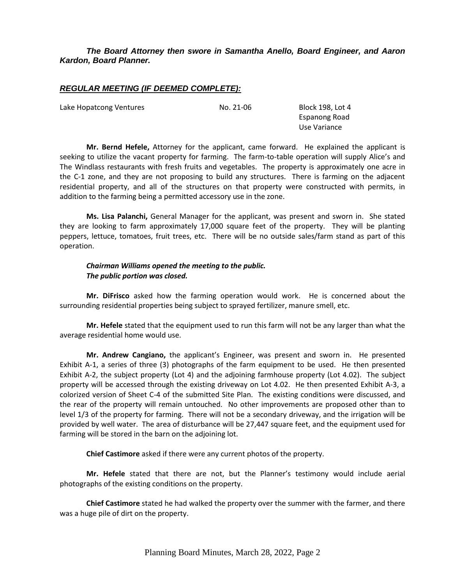## *The Board Attorney then swore in Samantha Anello, Board Engineer, and Aaron Kardon, Board Planner.*

# *REGULAR MEETING (IF DEEMED COMPLETE):*

Lake Hopatcong Ventures **No. 21-06** Block 198, Lot 4

Espanong Road Use Variance

**Mr. Bernd Hefele,** Attorney for the applicant, came forward. He explained the applicant is seeking to utilize the vacant property for farming. The farm-to-table operation will supply Alice's and The Windlass restaurants with fresh fruits and vegetables. The property is approximately one acre in the C-1 zone, and they are not proposing to build any structures. There is farming on the adjacent residential property, and all of the structures on that property were constructed with permits, in addition to the farming being a permitted accessory use in the zone.

**Ms. Lisa Palanchi,** General Manager for the applicant, was present and sworn in. She stated they are looking to farm approximately 17,000 square feet of the property. They will be planting peppers, lettuce, tomatoes, fruit trees, etc. There will be no outside sales/farm stand as part of this operation.

#### *Chairman Williams opened the meeting to the public. The public portion was closed.*

**Mr. DiFrisco** asked how the farming operation would work. He is concerned about the surrounding residential properties being subject to sprayed fertilizer, manure smell, etc.

**Mr. Hefele** stated that the equipment used to run this farm will not be any larger than what the average residential home would use.

**Mr. Andrew Cangiano,** the applicant's Engineer, was present and sworn in. He presented Exhibit A-1, a series of three (3) photographs of the farm equipment to be used. He then presented Exhibit A-2, the subject property (Lot 4) and the adjoining farmhouse property (Lot 4.02). The subject property will be accessed through the existing driveway on Lot 4.02. He then presented Exhibit A-3, a colorized version of Sheet C-4 of the submitted Site Plan. The existing conditions were discussed, and the rear of the property will remain untouched. No other improvements are proposed other than to level 1/3 of the property for farming. There will not be a secondary driveway, and the irrigation will be provided by well water. The area of disturbance will be 27,447 square feet, and the equipment used for farming will be stored in the barn on the adjoining lot.

**Chief Castimore** asked if there were any current photos of the property.

**Mr. Hefele** stated that there are not, but the Planner's testimony would include aerial photographs of the existing conditions on the property.

**Chief Castimore** stated he had walked the property over the summer with the farmer, and there was a huge pile of dirt on the property.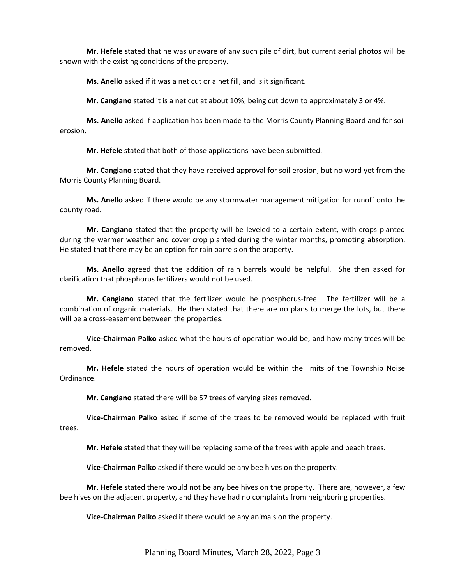**Mr. Hefele** stated that he was unaware of any such pile of dirt, but current aerial photos will be shown with the existing conditions of the property.

**Ms. Anello** asked if it was a net cut or a net fill, and is it significant.

**Mr. Cangiano** stated it is a net cut at about 10%, being cut down to approximately 3 or 4%.

**Ms. Anello** asked if application has been made to the Morris County Planning Board and for soil erosion.

**Mr. Hefele** stated that both of those applications have been submitted.

**Mr. Cangiano** stated that they have received approval for soil erosion, but no word yet from the Morris County Planning Board.

**Ms. Anello** asked if there would be any stormwater management mitigation for runoff onto the county road.

**Mr. Cangiano** stated that the property will be leveled to a certain extent, with crops planted during the warmer weather and cover crop planted during the winter months, promoting absorption. He stated that there may be an option for rain barrels on the property.

**Ms. Anello** agreed that the addition of rain barrels would be helpful. She then asked for clarification that phosphorus fertilizers would not be used.

**Mr. Cangiano** stated that the fertilizer would be phosphorus-free. The fertilizer will be a combination of organic materials. He then stated that there are no plans to merge the lots, but there will be a cross-easement between the properties.

**Vice-Chairman Palko** asked what the hours of operation would be, and how many trees will be removed.

**Mr. Hefele** stated the hours of operation would be within the limits of the Township Noise Ordinance.

**Mr. Cangiano** stated there will be 57 trees of varying sizes removed.

**Vice-Chairman Palko** asked if some of the trees to be removed would be replaced with fruit trees.

**Mr. Hefele** stated that they will be replacing some of the trees with apple and peach trees.

**Vice-Chairman Palko** asked if there would be any bee hives on the property.

**Mr. Hefele** stated there would not be any bee hives on the property. There are, however, a few bee hives on the adjacent property, and they have had no complaints from neighboring properties.

**Vice-Chairman Palko** asked if there would be any animals on the property.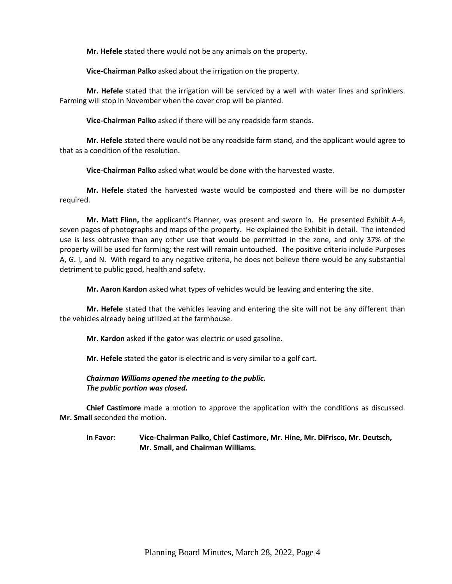**Mr. Hefele** stated there would not be any animals on the property.

**Vice-Chairman Palko** asked about the irrigation on the property.

**Mr. Hefele** stated that the irrigation will be serviced by a well with water lines and sprinklers. Farming will stop in November when the cover crop will be planted.

**Vice-Chairman Palko** asked if there will be any roadside farm stands.

**Mr. Hefele** stated there would not be any roadside farm stand, and the applicant would agree to that as a condition of the resolution.

**Vice-Chairman Palko** asked what would be done with the harvested waste.

**Mr. Hefele** stated the harvested waste would be composted and there will be no dumpster required.

**Mr. Matt Flinn,** the applicant's Planner, was present and sworn in. He presented Exhibit A-4, seven pages of photographs and maps of the property. He explained the Exhibit in detail. The intended use is less obtrusive than any other use that would be permitted in the zone, and only 37% of the property will be used for farming; the rest will remain untouched. The positive criteria include Purposes A, G. I, and N. With regard to any negative criteria, he does not believe there would be any substantial detriment to public good, health and safety.

**Mr. Aaron Kardon** asked what types of vehicles would be leaving and entering the site.

**Mr. Hefele** stated that the vehicles leaving and entering the site will not be any different than the vehicles already being utilized at the farmhouse.

**Mr. Kardon** asked if the gator was electric or used gasoline.

**Mr. Hefele** stated the gator is electric and is very similar to a golf cart.

*Chairman Williams opened the meeting to the public. The public portion was closed.*

**Chief Castimore** made a motion to approve the application with the conditions as discussed. **Mr. Small** seconded the motion.

**In Favor: Vice-Chairman Palko, Chief Castimore, Mr. Hine, Mr. DiFrisco, Mr. Deutsch, Mr. Small, and Chairman Williams.**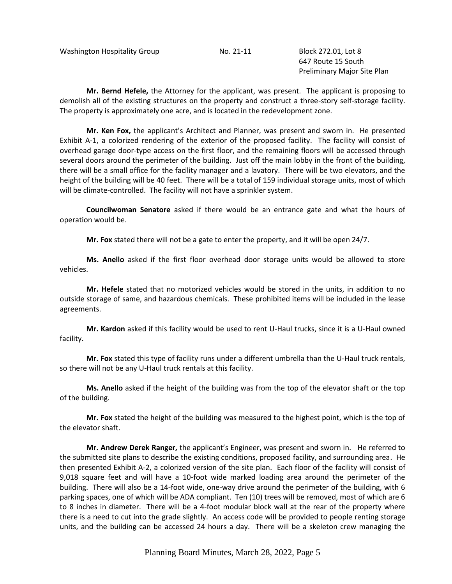Washington Hospitality Group No. 21-11 Block 272.01, Lot 8

647 Route 15 South Preliminary Major Site Plan

**Mr. Bernd Hefele,** the Attorney for the applicant, was present. The applicant is proposing to demolish all of the existing structures on the property and construct a three-story self-storage facility. The property is approximately one acre, and is located in the redevelopment zone.

**Mr. Ken Fox,** the applicant's Architect and Planner, was present and sworn in. He presented Exhibit A-1, a colorized rendering of the exterior of the proposed facility. The facility will consist of overhead garage door-type access on the first floor, and the remaining floors will be accessed through several doors around the perimeter of the building. Just off the main lobby in the front of the building, there will be a small office for the facility manager and a lavatory. There will be two elevators, and the height of the building will be 40 feet. There will be a total of 159 individual storage units, most of which will be climate-controlled. The facility will not have a sprinkler system.

**Councilwoman Senatore** asked if there would be an entrance gate and what the hours of operation would be.

**Mr. Fox** stated there will not be a gate to enter the property, and it will be open 24/7.

**Ms. Anello** asked if the first floor overhead door storage units would be allowed to store vehicles.

**Mr. Hefele** stated that no motorized vehicles would be stored in the units, in addition to no outside storage of same, and hazardous chemicals. These prohibited items will be included in the lease agreements.

**Mr. Kardon** asked if this facility would be used to rent U-Haul trucks, since it is a U-Haul owned facility.

**Mr. Fox** stated this type of facility runs under a different umbrella than the U-Haul truck rentals, so there will not be any U-Haul truck rentals at this facility.

**Ms. Anello** asked if the height of the building was from the top of the elevator shaft or the top of the building.

**Mr. Fox** stated the height of the building was measured to the highest point, which is the top of the elevator shaft.

**Mr. Andrew Derek Ranger,** the applicant's Engineer, was present and sworn in. He referred to the submitted site plans to describe the existing conditions, proposed facility, and surrounding area. He then presented Exhibit A-2, a colorized version of the site plan. Each floor of the facility will consist of 9,018 square feet and will have a 10-foot wide marked loading area around the perimeter of the building. There will also be a 14-foot wide, one-way drive around the perimeter of the building, with 6 parking spaces, one of which will be ADA compliant. Ten (10) trees will be removed, most of which are 6 to 8 inches in diameter. There will be a 4-foot modular block wall at the rear of the property where there is a need to cut into the grade slightly. An access code will be provided to people renting storage units, and the building can be accessed 24 hours a day. There will be a skeleton crew managing the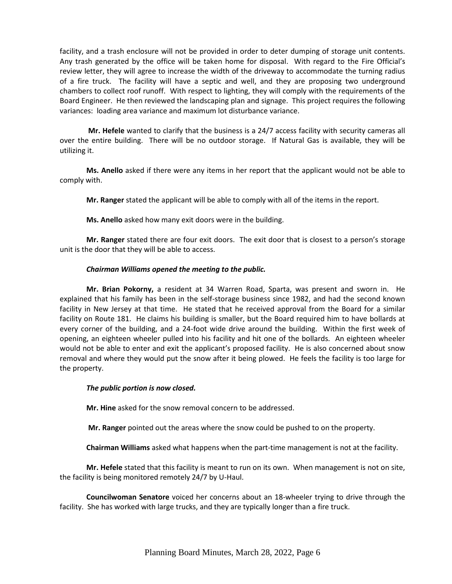facility, and a trash enclosure will not be provided in order to deter dumping of storage unit contents. Any trash generated by the office will be taken home for disposal. With regard to the Fire Official's review letter, they will agree to increase the width of the driveway to accommodate the turning radius of a fire truck. The facility will have a septic and well, and they are proposing two underground chambers to collect roof runoff. With respect to lighting, they will comply with the requirements of the Board Engineer. He then reviewed the landscaping plan and signage. This project requires the following variances: loading area variance and maximum lot disturbance variance.

**Mr. Hefele** wanted to clarify that the business is a 24/7 access facility with security cameras all over the entire building. There will be no outdoor storage. If Natural Gas is available, they will be utilizing it.

**Ms. Anello** asked if there were any items in her report that the applicant would not be able to comply with.

**Mr. Ranger** stated the applicant will be able to comply with all of the items in the report.

**Ms. Anello** asked how many exit doors were in the building.

**Mr. Ranger** stated there are four exit doors. The exit door that is closest to a person's storage unit is the door that they will be able to access.

#### *Chairman Williams opened the meeting to the public.*

**Mr. Brian Pokorny,** a resident at 34 Warren Road, Sparta, was present and sworn in. He explained that his family has been in the self-storage business since 1982, and had the second known facility in New Jersey at that time. He stated that he received approval from the Board for a similar facility on Route 181. He claims his building is smaller, but the Board required him to have bollards at every corner of the building, and a 24-foot wide drive around the building. Within the first week of opening, an eighteen wheeler pulled into his facility and hit one of the bollards. An eighteen wheeler would not be able to enter and exit the applicant's proposed facility. He is also concerned about snow removal and where they would put the snow after it being plowed. He feels the facility is too large for the property.

#### *The public portion is now closed.*

**Mr. Hine** asked for the snow removal concern to be addressed.

**Mr. Ranger** pointed out the areas where the snow could be pushed to on the property.

**Chairman Williams** asked what happens when the part-time management is not at the facility.

**Mr. Hefele** stated that this facility is meant to run on its own. When management is not on site, the facility is being monitored remotely 24/7 by U-Haul.

**Councilwoman Senatore** voiced her concerns about an 18-wheeler trying to drive through the facility. She has worked with large trucks, and they are typically longer than a fire truck.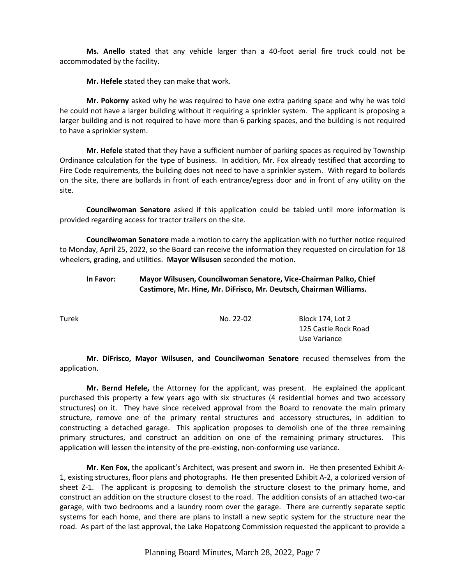**Ms. Anello** stated that any vehicle larger than a 40-foot aerial fire truck could not be accommodated by the facility.

**Mr. Hefele** stated they can make that work.

**Mr. Pokorny** asked why he was required to have one extra parking space and why he was told he could not have a larger building without it requiring a sprinkler system. The applicant is proposing a larger building and is not required to have more than 6 parking spaces, and the building is not required to have a sprinkler system.

**Mr. Hefele** stated that they have a sufficient number of parking spaces as required by Township Ordinance calculation for the type of business. In addition, Mr. Fox already testified that according to Fire Code requirements, the building does not need to have a sprinkler system. With regard to bollards on the site, there are bollards in front of each entrance/egress door and in front of any utility on the site.

**Councilwoman Senatore** asked if this application could be tabled until more information is provided regarding access for tractor trailers on the site.

**Councilwoman Senatore** made a motion to carry the application with no further notice required to Monday, April 25, 2022, so the Board can receive the information they requested on circulation for 18 wheelers, grading, and utilities. **Mayor Wilsusen** seconded the motion.

# **In Favor: Mayor Wilsusen, Councilwoman Senatore, Vice-Chairman Palko, Chief Castimore, Mr. Hine, Mr. DiFrisco, Mr. Deutsch, Chairman Williams.**

Turek No. 22-02 Block 174, Lot 2 125 Castle Rock Road Use Variance

**Mr. DiFrisco, Mayor Wilsusen, and Councilwoman Senatore** recused themselves from the application.

**Mr. Bernd Hefele,** the Attorney for the applicant, was present. He explained the applicant purchased this property a few years ago with six structures (4 residential homes and two accessory structures) on it. They have since received approval from the Board to renovate the main primary structure, remove one of the primary rental structures and accessory structures, in addition to constructing a detached garage. This application proposes to demolish one of the three remaining primary structures, and construct an addition on one of the remaining primary structures. This application will lessen the intensity of the pre-existing, non-conforming use variance.

**Mr. Ken Fox,** the applicant's Architect, was present and sworn in. He then presented Exhibit A-1, existing structures, floor plans and photographs. He then presented Exhibit A-2, a colorized version of sheet Z-1. The applicant is proposing to demolish the structure closest to the primary home, and construct an addition on the structure closest to the road. The addition consists of an attached two-car garage, with two bedrooms and a laundry room over the garage. There are currently separate septic systems for each home, and there are plans to install a new septic system for the structure near the road. As part of the last approval, the Lake Hopatcong Commission requested the applicant to provide a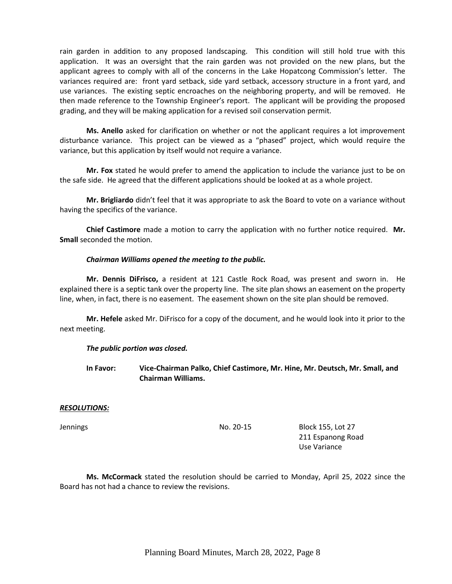rain garden in addition to any proposed landscaping. This condition will still hold true with this application. It was an oversight that the rain garden was not provided on the new plans, but the applicant agrees to comply with all of the concerns in the Lake Hopatcong Commission's letter. The variances required are: front yard setback, side yard setback, accessory structure in a front yard, and use variances. The existing septic encroaches on the neighboring property, and will be removed. He then made reference to the Township Engineer's report. The applicant will be providing the proposed grading, and they will be making application for a revised soil conservation permit.

**Ms. Anello** asked for clarification on whether or not the applicant requires a lot improvement disturbance variance. This project can be viewed as a "phased" project, which would require the variance, but this application by itself would not require a variance.

**Mr. Fox** stated he would prefer to amend the application to include the variance just to be on the safe side. He agreed that the different applications should be looked at as a whole project.

**Mr. Brigliardo** didn't feel that it was appropriate to ask the Board to vote on a variance without having the specifics of the variance.

**Chief Castimore** made a motion to carry the application with no further notice required. **Mr. Small** seconded the motion.

#### *Chairman Williams opened the meeting to the public.*

**Mr. Dennis DiFrisco,** a resident at 121 Castle Rock Road, was present and sworn in. He explained there is a septic tank over the property line. The site plan shows an easement on the property line, when, in fact, there is no easement. The easement shown on the site plan should be removed.

**Mr. Hefele** asked Mr. DiFrisco for a copy of the document, and he would look into it prior to the next meeting.

#### *The public portion was closed.*

**In Favor: Vice-Chairman Palko, Chief Castimore, Mr. Hine, Mr. Deutsch, Mr. Small, and Chairman Williams.**

#### *RESOLUTIONS:*

Jennings No. 20-15 Block 155, Lot 27 211 Espanong Road Use Variance

**Ms. McCormack** stated the resolution should be carried to Monday, April 25, 2022 since the Board has not had a chance to review the revisions.